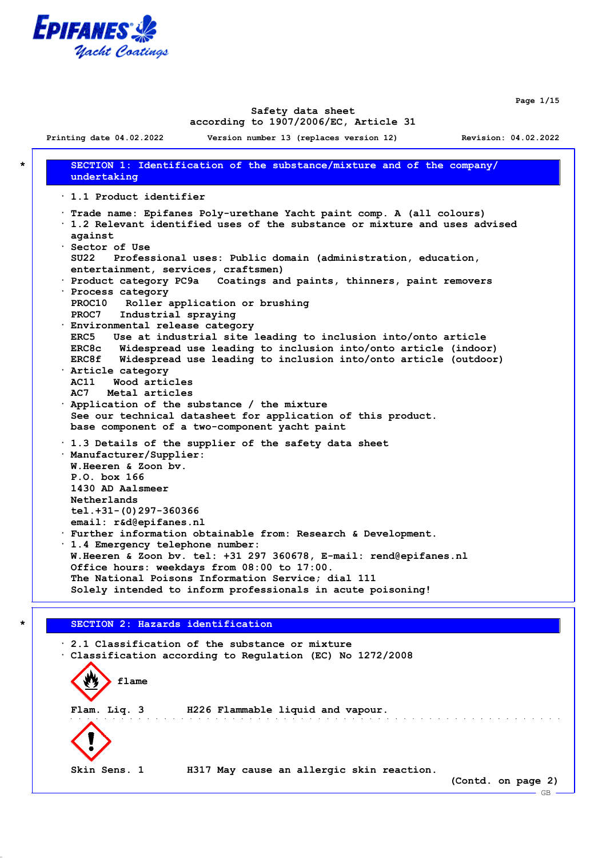

**Page 1/15**

 $-$  GB

#### **Safety data sheet according to 1907/2006/EC, Article 31**

**Printing date 04.02.2022 Version number 13 (replaces version 12) Revision: 04.02.2022**

**\* SECTION 1: Identification of the substance/mixture and of the company/ undertaking · 1.1 Product identifier · Trade name: Epifanes Poly-urethane Yacht paint comp. A (all colours) · 1.2 Relevant identified uses of the substance or mixture and uses advised against · Sector of Use SU22 Professional uses: Public domain (administration, education, entertainment, services, craftsmen) · Product category PC9a Coatings and paints, thinners, paint removers · Process category PROC10 Roller application or brushing PROC7 Industrial spraying · Environmental release category ERC5 Use at industrial site leading to inclusion into/onto article ERC8c Widespread use leading to inclusion into/onto article (indoor) ERC8f Widespread use leading to inclusion into/onto article (outdoor) · Article category AC11 Wood articles AC7 Metal articles · Application of the substance / the mixture See our technical datasheet for application of this product. base component of a two-component yacht paint · 1.3 Details of the supplier of the safety data sheet · Manufacturer/Supplier: W.Heeren & Zoon bv. P.O. box 166 1430 AD Aalsmeer Netherlands tel.+31-(0)297-360366 email: r&d@epifanes.nl · Further information obtainable from: Research & Development. · 1.4 Emergency telephone number: W.Heeren & Zoon bv. tel: +31 297 360678, E-mail: rend@epifanes.nl Office hours: weekdays from 08:00 to 17:00. The National Poisons Information Service; dial 111 Solely intended to inform professionals in acute poisoning!**

# **\* SECTION 2: Hazards identification**

**· 2.1 Classification of the substance or mixture · Classification according to Regulation (EC) No 1272/2008 flame Flam. Liq. 3 H226 Flammable liquid and vapour.** ing a shekarar ta 191 **Skin Sens. 1 H317 May cause an allergic skin reaction. (Contd. on page 2)**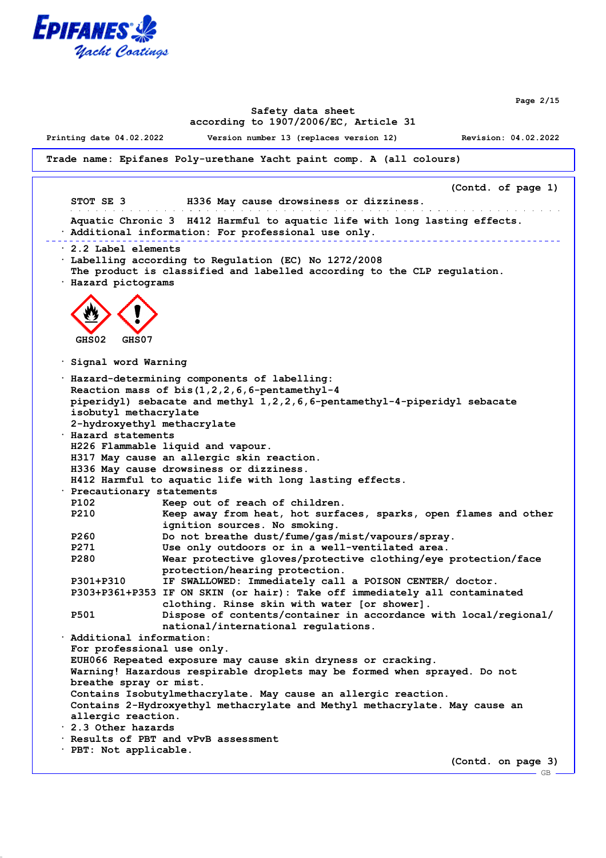

**Page 2/15**

### **Safety data sheet according to 1907/2006/EC, Article 31**

**Printing date 04.02.2022 Version number 13 (replaces version 12) Revision: 04.02.2022**

**Trade name: Epifanes Poly-urethane Yacht paint comp. A (all colours)**

**(Contd. of page 1) STOT SE 3 H336 May cause drowsiness or dizziness.** and a straightful contract and a straight **Aquatic Chronic 3 H412 Harmful to aquatic life with long lasting effects. · Additional information: For professional use only.** <u>. . . . . . . . . .</u> **· 2.2 Label elements · Labelling according to Regulation (EC) No 1272/2008 The product is classified and labelled according to the CLP regulation. · Hazard pictograms GHS02 GHS07 · Signal word Warning · Hazard-determining components of labelling: Reaction mass of bis(1,2,2,6,6-pentamethyl-4 piperidyl) sebacate and methyl 1,2,2,6,6-pentamethyl-4-piperidyl sebacate isobutyl methacrylate 2-hydroxyethyl methacrylate · Hazard statements H226 Flammable liquid and vapour. H317 May cause an allergic skin reaction. H336 May cause drowsiness or dizziness. H412 Harmful to aquatic life with long lasting effects. · Precautionary statements P102 Keep out of reach of children. P210 Keep away from heat, hot surfaces, sparks, open flames and other ignition sources. No smoking. P260 Do not breathe dust/fume/gas/mist/vapours/spray. P271 Use only outdoors or in a well-ventilated area. P280 Wear protective gloves/protective clothing/eye protection/face protection/hearing protection. P301+P310 IF SWALLOWED: Immediately call a POISON CENTER/ doctor. P303+P361+P353 IF ON SKIN (or hair): Take off immediately all contaminated clothing. Rinse skin with water [or shower]. P501 Dispose of contents/container in accordance with local/regional/ national/international regulations. · Additional information: For professional use only. EUH066 Repeated exposure may cause skin dryness or cracking. Warning! Hazardous respirable droplets may be formed when sprayed. Do not breathe spray or mist. Contains Isobutylmethacrylate. May cause an allergic reaction. Contains 2-Hydroxyethyl methacrylate and Methyl methacrylate. May cause an allergic reaction. · 2.3 Other hazards · Results of PBT and vPvB assessment · PBT: Not applicable. (Contd. on page 3)**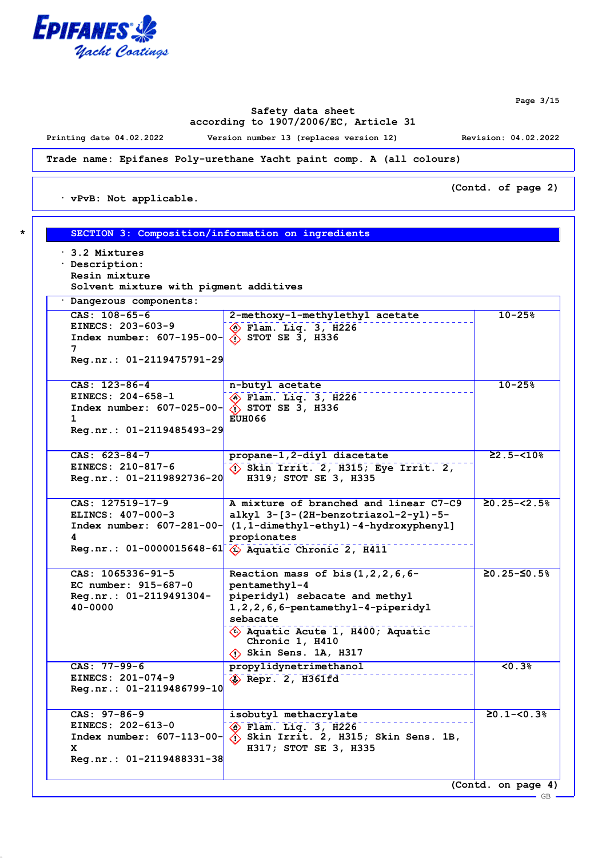

**Page 3/15**

## **Safety data sheet according to 1907/2006/EC, Article 31**

**Printing date 04.02.2022 Version number 13 (replaces version 12) Revision: 04.02.2022**

**(Contd. of page 2)**

**Trade name: Epifanes Poly-urethane Yacht paint comp. A (all colours)**

**· vPvB: Not applicable.**

| $\cdot$ 3.2 Mixtures<br>· Description:                                  |                                                                       |                           |
|-------------------------------------------------------------------------|-----------------------------------------------------------------------|---------------------------|
| Resin mixture                                                           |                                                                       |                           |
| Solvent mixture with pigment additives                                  |                                                                       |                           |
| · Dangerous components:                                                 |                                                                       |                           |
| $CAS: 108-65-6$                                                         | 2-methoxy-1-methylethyl acetate                                       | $10 - 25%$                |
| EINECS: 203-603-9                                                       | $\circledast$ Flam. Liq. 3, H226                                      |                           |
| Index number: $607-195-00-\langle \hat{?}\rangle$ STOT SE 3, H336       |                                                                       |                           |
| 7                                                                       |                                                                       |                           |
| Reg.nr.: 01-2119475791-29                                               |                                                                       |                           |
| CAS: 123-86-4                                                           | n-butyl acetate                                                       | $10 - 25%$                |
| EINECS: 204-658-1                                                       | $\circledast$ Flam. Liq. 3, H226                                      |                           |
| Index number: $607-025-00$ $\left\langle \right\rangle$ STOT SE 3, H336 |                                                                       |                           |
| $\mathbf{1}$                                                            | <b>EUH066</b>                                                         |                           |
| Reg.nr.: 01-2119485493-29                                               |                                                                       |                           |
| $CAS: 623-84-7$                                                         | propane-1,2-diyl diacetate                                            | $22.5 - 510$ <sup>8</sup> |
| EINECS: 210-817-6                                                       | $\langle \cdot \rangle$ Skin Irrit. 2, H315; Eye Irrit. 2,            |                           |
| Reg.nr.: 01-2119892736-20                                               | H319; STOT SE 3, H335                                                 |                           |
| CAS: 127519-17-9                                                        | A mixture of branched and linear C7-C9                                | $\geq 0.25 - \leq 2.5$    |
| ELINCS: 407-000-3                                                       | alkyl 3-[3-(2H-benzotriazol-2-yl)-5-                                  |                           |
|                                                                         | Index number: $607-281-00$ - $(1,1$ -dimethyl-ethyl)-4-hydroxyphenyl] |                           |
| 4                                                                       | propionates                                                           |                           |
|                                                                         | Reg.nr.: 01-0000015648-61 4 Aquatic Chronic 2, H411                   |                           |
| CAS: 1065336-91-5                                                       | Reaction mass of bis $(1,2,2,6,6$ -                                   | $≥0.25-≤0.5%$             |
| EC number: 915-687-0                                                    | pentamethyl-4                                                         |                           |
| Reg.nr.: 01-2119491304-                                                 | piperidyl) sebacate and methyl                                        |                           |
| $40 - 0000$                                                             | $1, 2, 2, 6, 6$ -pentamethyl-4-piperidyl                              |                           |
|                                                                         | sebacate                                                              |                           |
|                                                                         | $\Diamond$ Aquatic Acute 1, H400; Aquatic<br>Chronic 1, H410          |                           |
|                                                                         | $\langle \cdot \rangle$ Skin Sens. 1A, H317                           |                           |
| $CAS: 77-99-6$                                                          | propylidynetrimethanol                                                | 50.3%                     |
| EINECS: 201-074-9                                                       | Repr. 2, H361fd                                                       |                           |
| Reg.nr.: 01-2119486799-10                                               |                                                                       |                           |
| $CAS: 97-86-9$                                                          | isobutyl methacrylate                                                 | $20.1 - 50.3$             |
| EINECS: 202-613-0                                                       | $\Diamond$ Flam. Liq. 3, H226                                         |                           |
| Index number: $607-113-00$ -                                            | $\langle \cdot \rangle$ Skin Irrit. 2, H315; Skin Sens. 1B,           |                           |
| x                                                                       | H317; STOT SE 3, H335                                                 |                           |
| Reg.nr.: 01-2119488331-38                                               |                                                                       |                           |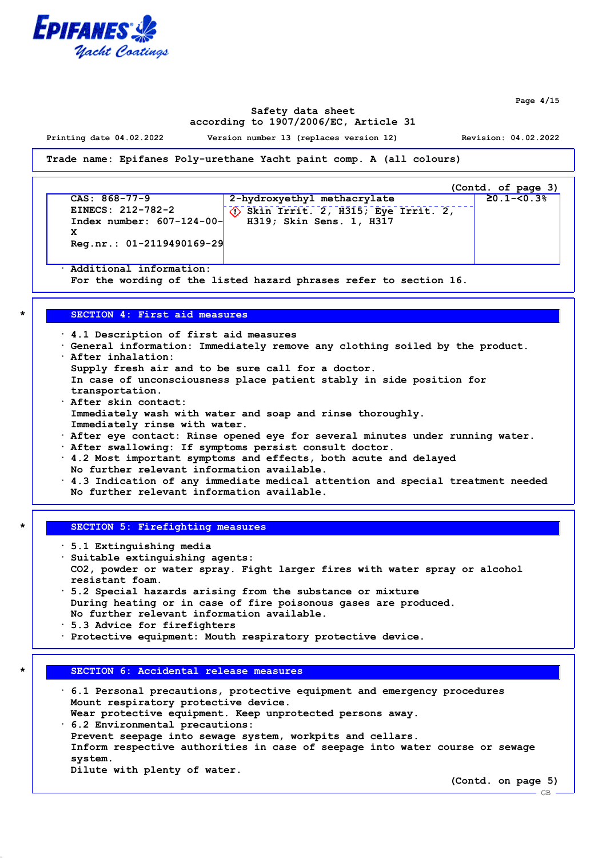

**Page 4/15**

#### **Safety data sheet according to 1907/2006/EC, Article 31**

**Printing date 04.02.2022 Version number 13 (replaces version 12) Revision: 04.02.2022**

**Trade name: Epifanes Poly-urethane Yacht paint comp. A (all colours)**

|                              |                                                            | (Contd. of page 3) |
|------------------------------|------------------------------------------------------------|--------------------|
| $CAS: 868-77-9$              | 2-hydroxyethyl methacrylate                                | $20.1 - 50.3$      |
| EINECS: 212-782-2            | $\langle \cdot \rangle$ Skin Irrit. 2, H315; Eye Irrit. 2, |                    |
| Index number: $607-124-00$ - | H319; Skin Sens. 1, H317                                   |                    |
| v                            |                                                            |                    |
| $Reg.nr.: 01-2119490169-29$  |                                                            |                    |

**· Additional information:**

**For the wording of the listed hazard phrases refer to section 16.**

#### **\* SECTION 4: First aid measures**

**· 4.1 Description of first aid measures · General information: Immediately remove any clothing soiled by the product. · After inhalation: Supply fresh air and to be sure call for a doctor. In case of unconsciousness place patient stably in side position for transportation. · After skin contact: Immediately wash with water and soap and rinse thoroughly. Immediately rinse with water.**

- **· After eye contact: Rinse opened eye for several minutes under running water.**
- **· After swallowing: If symptoms persist consult doctor.**
- **· 4.2 Most important symptoms and effects, both acute and delayed**
- **No further relevant information available.**
- **· 4.3 Indication of any immediate medical attention and special treatment needed No further relevant information available.**

#### **\* SECTION 5: Firefighting measures**

**· 5.1 Extinguishing media**

- **· Suitable extinguishing agents:**
- **CO2, powder or water spray. Fight larger fires with water spray or alcohol resistant foam.**
- **· 5.2 Special hazards arising from the substance or mixture During heating or in case of fire poisonous gases are produced. No further relevant information available.**
- **· 5.3 Advice for firefighters**
- **· Protective equipment: Mouth respiratory protective device.**

#### **\* SECTION 6: Accidental release measures**

- **· 6.1 Personal precautions, protective equipment and emergency procedures Mount respiratory protective device. Wear protective equipment. Keep unprotected persons away.**
- **· 6.2 Environmental precautions: Prevent seepage into sewage system, workpits and cellars. Inform respective authorities in case of seepage into water course or sewage system.**
	- **Dilute with plenty of water.**

**(Contd. on page 5)**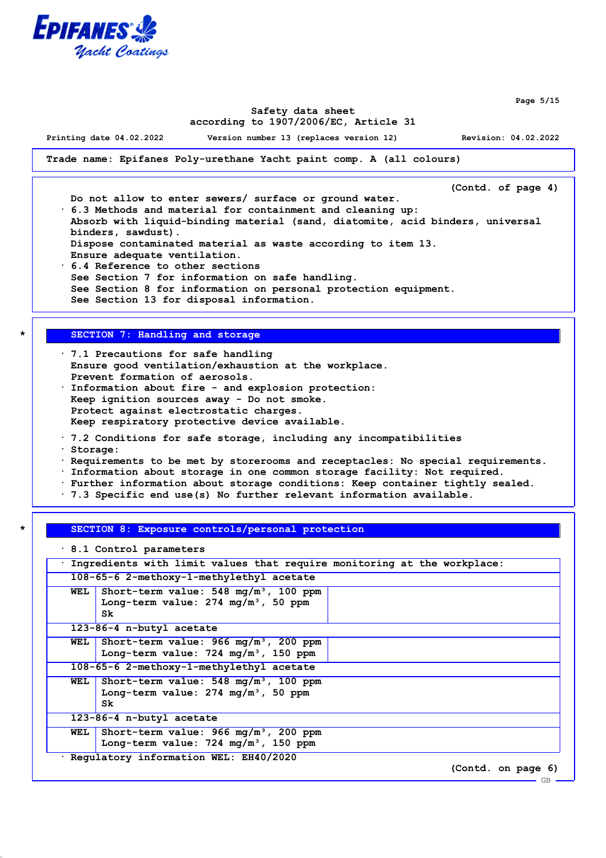

**Page 5/15**

#### **Safety data sheet according to 1907/2006/EC, Article 31**

**Printing date 04.02.2022 Version number 13 (replaces version 12) Revision: 04.02.2022**

**Trade name: Epifanes Poly-urethane Yacht paint comp. A (all colours)**

**(Contd. of page 4)**

**Do not allow to enter sewers/ surface or ground water. · 6.3 Methods and material for containment and cleaning up:**

**Absorb with liquid-binding material (sand, diatomite, acid binders, universal binders, sawdust). Dispose contaminated material as waste according to item 13. Ensure adequate ventilation.**

**· 6.4 Reference to other sections See Section 7 for information on safe handling. See Section 8 for information on personal protection equipment. See Section 13 for disposal information.**

## **\* SECTION 7: Handling and storage**

- **· 7.1 Precautions for safe handling Ensure good ventilation/exhaustion at the workplace. Prevent formation of aerosols. · Information about fire - and explosion protection: Keep ignition sources away - Do not smoke.**
- **Protect against electrostatic charges.**
- **Keep respiratory protective device available.**
- **· 7.2 Conditions for safe storage, including any incompatibilities**
- **· Storage:**
- **· Requirements to be met by storerooms and receptacles: No special requirements.**
- **· Information about storage in one common storage facility: Not required.**
- **· Further information about storage conditions: Keep container tightly sealed.**
- **· 7.3 Specific end use(s) No further relevant information available.**

## **\* SECTION 8: Exposure controls/personal protection**

**· 8.1 Control parameters**

**· Ingredients with limit values that require monitoring at the workplace: 108-65-6 2-methoxy-1-methylethyl acetate WEL Short-term value: 548 mg/m³, 100 ppm Long-term value: 274 mg/m³, 50 ppm Sk 123-86-4 n-butyl acetate WEL Short-term value: 966 mg/m³, 200 ppm Long-term value: 724 mg/m³, 150 ppm 108-65-6 2-methoxy-1-methylethyl acetate WEL Short-term value: 548 mg/m³, 100 ppm Long-term value: 274 mg/m³, 50 ppm Sk 123-86-4 n-butyl acetate WEL Short-term value: 966 mg/m³, 200 ppm Long-term value: 724 mg/m³, 150 ppm · Regulatory information WEL: EH40/2020 (Contd. on page 6)** GB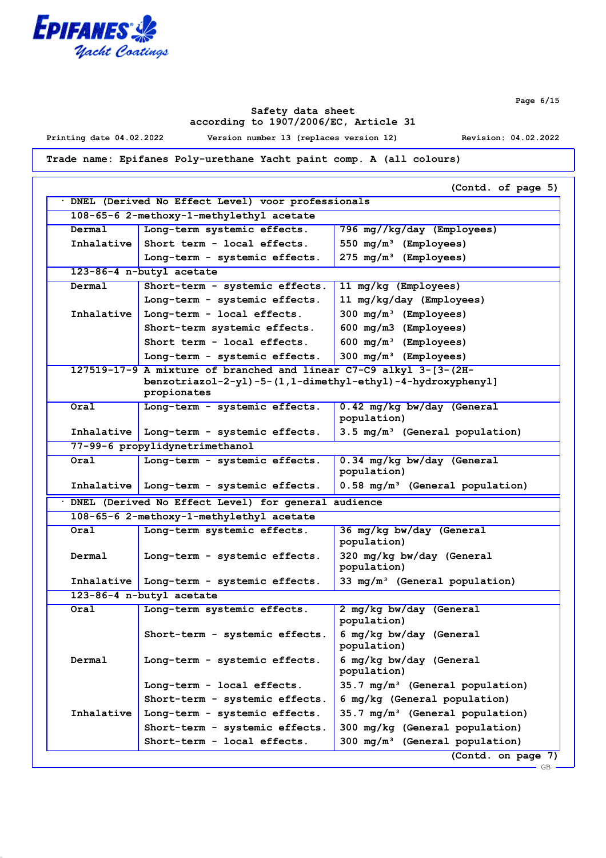

**Safety data sheet according to 1907/2006/EC, Article 31**

**Printing date 04.02.2022 Version number 13 (replaces version 12) Revision: 04.02.2022**

**Trade name: Epifanes Poly-urethane Yacht paint comp. A (all colours)**

|            | DNEL (Derived No Effect Level) voor professionals                  |                                             |
|------------|--------------------------------------------------------------------|---------------------------------------------|
|            | 108-65-6 2-methoxy-1-methylethyl acetate                           |                                             |
| Dermal     | Long-term systemic effects.                                        | 796 mg//kg/day (Employees)                  |
| Inhalative | Short term - local effects.                                        | 550 $mg/m^3$ (Employees)                    |
|            | Long-term - systemic effects.                                      | 275 mg/m <sup>3</sup> (Employees)           |
|            | 123-86-4 n-butyl acetate                                           |                                             |
| Dermal     | Short-term - systemic effects.                                     | 11 mg/kg (Employees)                        |
|            | Long-term - systemic effects.                                      | 11 mg/kg/day (Employees)                    |
| Inhalative | Long-term - local effects.                                         | 300 $mg/m^3$ (Employees)                    |
|            | Short-term systemic effects.                                       | 600 mg/m3 (Employees)                       |
|            | Short term - local effects.                                        | 600 $mg/m^3$ (Employees)                    |
|            | Long-term - systemic effects.                                      | 300 $mg/m^3$ (Employees)                    |
|            | 127519-17-9 A mixture of branched and linear C7-C9 alkyl 3-[3-(2H- |                                             |
|            | benzotriazol-2-yl)-5-(1,1-dimethyl-ethyl)-4-hydroxyphenyl]         |                                             |
|            | propionates                                                        |                                             |
| Oral       | Long-term - systemic effects.                                      | 0.42 mg/kg bw/day (General<br>population)   |
|            | Inhalative   Long-term - systemic effects.                         | 3.5 mg/m <sup>3</sup> (General population)  |
|            | 77-99-6 propylidynetrimethanol                                     |                                             |
| Oral       | Long-term - systemic effects.                                      | 0.34 mg/kg bw/day (General                  |
|            |                                                                    | population)                                 |
|            | Inhalative   Long-term - systemic effects.                         | $0.58 \text{ mg/m}^3$ (General population)  |
|            | · DNEL (Derived No Effect Level) for general audience              |                                             |
|            | 108-65-6 2-methoxy-1-methylethyl acetate                           |                                             |
| Oral       | Long-term systemic effects.                                        | 36 mg/kg bw/day (General                    |
|            |                                                                    | population)                                 |
| Dermal     | Long-term - systemic effects.                                      | 320 mg/kg bw/day (General                   |
|            |                                                                    | population)                                 |
|            | Inhalative   Long-term - systemic effects.                         | 33 $mg/m^3$ (General population)            |
|            | 123-86-4 n-butyl acetate                                           |                                             |
| Oral       | Long-term systemic effects.                                        | 2 mg/kg bw/day (General<br>population)      |
|            | Short-term - systemic effects.                                     | 6 mg/kg bw/day (General                     |
|            |                                                                    | population)                                 |
| Dermal     | Long-term - systemic effects.                                      | 6 mg/kg bw/day (General                     |
|            |                                                                    | population)                                 |
|            | Long-term - local effects.                                         | 35.7 mg/m <sup>3</sup> (General population) |
|            | Short-term - systemic effects.                                     | 6 mg/kg (General population)                |
|            | Long-term - systemic effects.                                      | $35.7 \text{ mg/m}^3$ (General population)  |
|            |                                                                    |                                             |
|            | Short-term - systemic effects.                                     | 300 mg/kg (General population)              |
| Inhalative | Short-term - local effects.                                        | $300 \text{ mg/m}^3$ (General population)   |

**Page 6/15**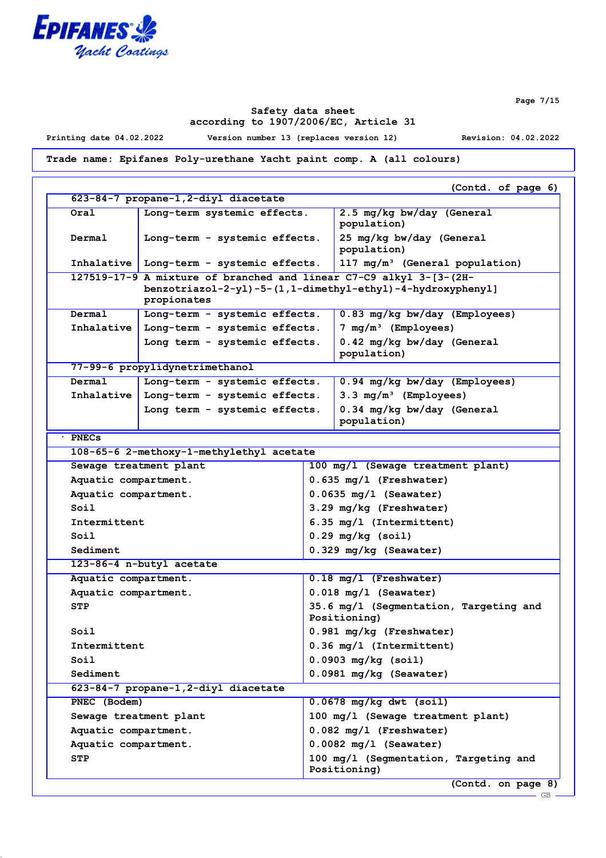

**Safety data sheet according to 1907/2006/EC, Article 31**

**Printing date 04.02.2022 Version number 13 (replaces version 12) Revision: 04.02.2022**

**Trade name: Epifanes Poly-urethane Yacht paint comp. A (all colours)**

|                        | 623-84-7 propane-1,2-diyl diacetate                                | (Contd. of page 6)                                         |
|------------------------|--------------------------------------------------------------------|------------------------------------------------------------|
| Oral                   | Long-term systemic effects.                                        | 2.5 mg/kg bw/day (General                                  |
|                        |                                                                    | population)                                                |
| Dermal                 | Long-term - systemic effects.                                      | 25 mg/kg bw/day (General<br>population)                    |
|                        | Inhalative   Long-term - systemic effects.                         | 117 mg/m <sup>3</sup> (General population)                 |
|                        | 127519-17-9 A mixture of branched and linear C7-C9 alkyl 3-[3-(2H- |                                                            |
|                        | propionates                                                        | benzotriazol-2-yl)-5-(1,1-dimethyl-ethyl)-4-hydroxyphenyl] |
| Dermal                 | Long-term - systemic effects.                                      | 0.83 mg/kg bw/day (Employees)                              |
| Inhalative             | Long-term - systemic effects.                                      | 7 $mg/m^3$ (Employees)                                     |
|                        | Long term - systemic effects.                                      | 0.42 mg/kg bw/day (General<br>population)                  |
|                        | 77-99-6 propylidynetrimethanol                                     |                                                            |
| Dermal                 | Long-term - systemic effects.                                      | 0.94 mg/kg bw/day (Employees)                              |
| Inhalative             | Long-term - systemic effects.                                      | $3.3 \text{ mg/m}^3$ (Employees)                           |
|                        | Long term - systemic effects.                                      | 0.34 mg/kg bw/day (General<br>population)                  |
| $·$ PNECs              |                                                                    |                                                            |
|                        | 108-65-6 2-methoxy-1-methylethyl acetate                           |                                                            |
| Sewage treatment plant |                                                                    | 100 mg/l (Sewage treatment plant)                          |
| Aquatic compartment.   |                                                                    | $0.635$ mg/l (Freshwater)                                  |
| Aquatic compartment.   |                                                                    | $0.0635$ mg/l (Seawater)                                   |
| Soil                   |                                                                    | 3.29 mg/kg (Freshwater)                                    |
| Intermittent           |                                                                    | 6.35 mg/l (Intermittent)                                   |
| Soil                   |                                                                    | $0.29$ mg/kg (soil)                                        |
| Sediment               |                                                                    | 0.329 mg/kg (Seawater)                                     |
|                        | 123-86-4 n-butyl acetate                                           |                                                            |
| Aquatic compartment.   |                                                                    | $0.18$ mg/l (Freshwater)                                   |
| Aquatic compartment.   |                                                                    | $0.018$ mg/l (Seawater)                                    |
| <b>STP</b>             |                                                                    | 35.6 mg/l (Segmentation, Targeting and<br>Positioning)     |
| Soil                   |                                                                    | 0.981 mg/kg (Freshwater)                                   |
| Intermittent           |                                                                    | 0.36 mg/l (Intermittent)                                   |
| Soil                   |                                                                    | $0.0903$ mg/kg (soil)                                      |
| Sediment               |                                                                    | 0.0981 mg/kg (Seawater)                                    |
|                        | 623-84-7 propane-1, 2-diyl diacetate                               |                                                            |
| PNEC (Bodem)           |                                                                    | $0.0678$ mg/kg dwt (soil)                                  |
| Sewage treatment plant |                                                                    | 100 mg/l (Sewage treatment plant)                          |
| Aquatic compartment.   |                                                                    | $0.082$ mg/l (Freshwater)                                  |
| Aquatic compartment.   |                                                                    | $0.0082$ mg/l (Seawater)                                   |
| <b>STP</b>             |                                                                    | 100 mg/l (Segmentation, Targeting and<br>Positioning)      |

**Page 7/15**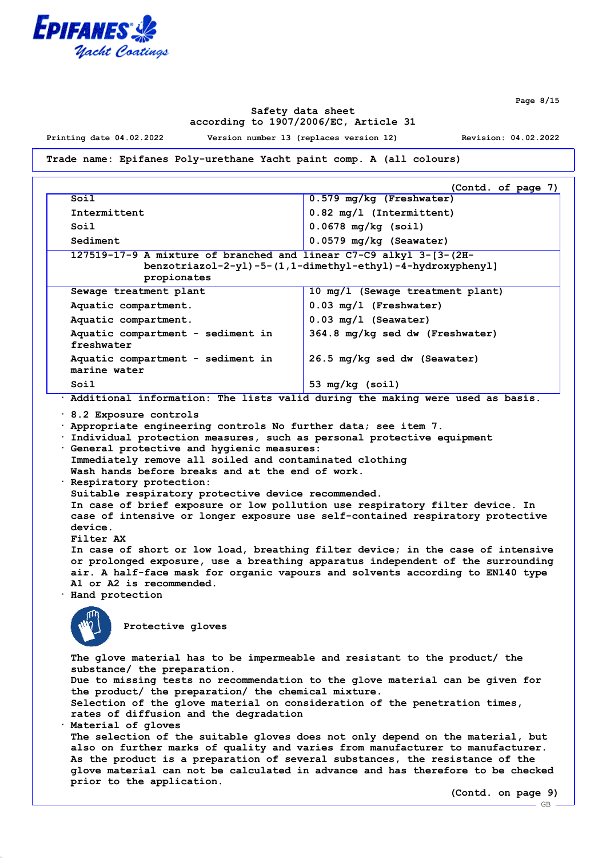

**Page 8/15**

### **Safety data sheet according to 1907/2006/EC, Article 31**

**Printing date 04.02.2022 Version number 13 (replaces version 12) Revision: 04.02.2022**

**Trade name: Epifanes Poly-urethane Yacht paint comp. A (all colours)**

|                                                                                                                                                 | (Contd. of page 7)                 |  |
|-------------------------------------------------------------------------------------------------------------------------------------------------|------------------------------------|--|
| Soil                                                                                                                                            | $0.579$ mg/kg (Freshwater)         |  |
| Intermittent                                                                                                                                    | $0.82 \text{ mg}/1$ (Intermittent) |  |
| Soil                                                                                                                                            | $0.0678$ mg/kg (soil)              |  |
| Sediment                                                                                                                                        | $0.0579$ mg/kg (Seawater)          |  |
| 127519-17-9 A mixture of branched and linear C7-C9 alkyl 3-[3-(2H-<br>benzotriazol-2-yl)-5-(1,1-dimethyl-ethyl)-4-hydroxyphenyl]<br>propionates |                                    |  |
| Sewage treatment plant                                                                                                                          | 10 mg/l (Sewage treatment plant)   |  |
| Aquatic compartment.                                                                                                                            | $0.03$ mg/l (Freshwater)           |  |
| Aquatic compartment.                                                                                                                            | $0.03$ mg/l (Seawater)             |  |
| Aquatic compartment - sediment in<br>freshwater                                                                                                 | 364.8 mg/kg sed dw (Freshwater)    |  |
| Aquatic compartment - sediment in<br>marine water                                                                                               | 26.5 mg/kg sed dw (Seawater)       |  |
| Soil                                                                                                                                            | 53 mg/kg (soil)                    |  |

**· Additional information: The lists valid during the making were used as basis.**

**· 8.2 Exposure controls**

**· Appropriate engineering controls No further data; see item 7.**

**· Individual protection measures, such as personal protective equipment**

**· General protective and hygienic measures: Immediately remove all soiled and contaminated clothing Wash hands before breaks and at the end of work. · Respiratory protection:**

**Suitable respiratory protective device recommended. In case of brief exposure or low pollution use respiratory filter device. In case of intensive or longer exposure use self-contained respiratory protective device.**

**Filter AX**

**In case of short or low load, breathing filter device; in the case of intensive or prolonged exposure, use a breathing apparatus independent of the surrounding air. A half-face mask for organic vapours and solvents according to EN140 type A1 or A2 is recommended.**

**· Hand protection**



**Protective gloves**

**The glove material has to be impermeable and resistant to the product/ the substance/ the preparation. Due to missing tests no recommendation to the glove material can be given for the product/ the preparation/ the chemical mixture. Selection of the glove material on consideration of the penetration times, rates of diffusion and the degradation · Material of gloves The selection of the suitable gloves does not only depend on the material, but also on further marks of quality and varies from manufacturer to manufacturer. As the product is a preparation of several substances, the resistance of the glove material can not be calculated in advance and has therefore to be checked prior to the application.**

**(Contd. on page 9)**

 $-$  GB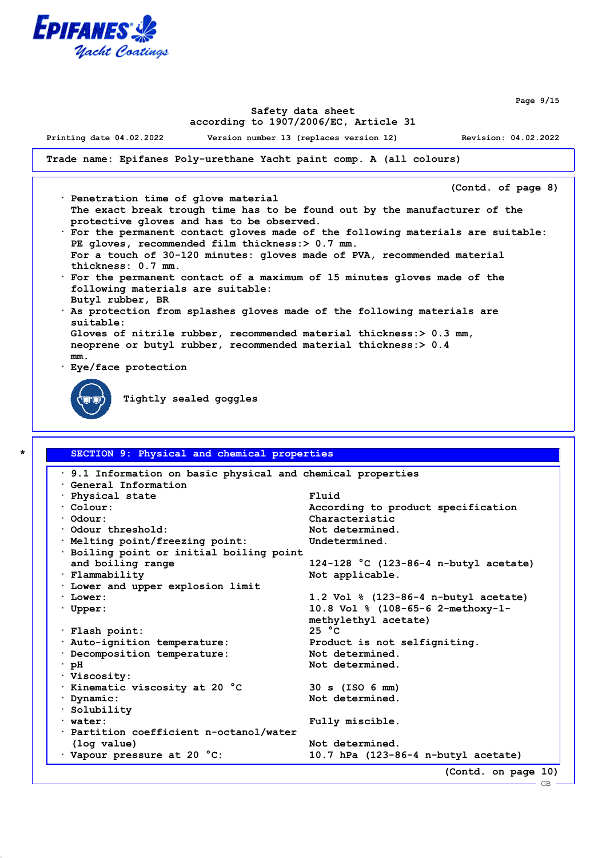

**Page 9/15**

#### **Safety data sheet according to 1907/2006/EC, Article 31**

**Printing date 04.02.2022 Version number 13 (replaces version 12) Revision: 04.02.2022**

**Trade name: Epifanes Poly-urethane Yacht paint comp. A (all colours)**

**(Contd. of page 8)**

- **· Penetration time of glove material The exact break trough time has to be found out by the manufacturer of the protective gloves and has to be observed.**
- **· For the permanent contact gloves made of the following materials are suitable: PE gloves, recommended film thickness:> 0.7 mm. For a touch of 30-120 minutes: gloves made of PVA, recommended material thickness: 0.7 mm.**
- **· For the permanent contact of a maximum of 15 minutes gloves made of the following materials are suitable: Butyl rubber, BR**
- **· As protection from splashes gloves made of the following materials are**
	- **suitable: Gloves of nitrile rubber, recommended material thickness:> 0.3 mm,**

**neoprene or butyl rubber, recommended material thickness:> 0.4**

**· Eye/face protection**

**mm.**

**Tightly sealed goggles**

# **\* SECTION 9: Physical and chemical properties · 9.1 Information on basic physical and chemical properties · General Information · Physical state Fluid · Colour: According to product specification · Odour: Characteristic · Odour threshold: Not determined. · Melting point/freezing point: Undetermined. · Boiling point or initial boiling point and boiling range 124-128 °C (123-86-4 n-butyl acetate) · Flammability Not applicable. · Lower and upper explosion limit · Lower: 1.2 Vol % (123-86-4 n-butyl acetate) · Upper: 10.8 Vol % (108-65-6 2-methoxy-1 methylethyl acetate) · Flash point: 25 °C · Auto-ignition temperature: Product is not selfigniting. · Decomposition temperature: Not determined. · pH Not determined. · Viscosity: · Kinematic viscosity at 20 °C 30 s (ISO 6 mm) · Dynamic: Not determined. · Solubility · water: Fully miscible. · Partition coefficient n-octanol/water (log value) Not determined. · Vapour pressure at 20 °C: 10.7 hPa (123-86-4 n-butyl acetate) (Contd. on page 10)** GB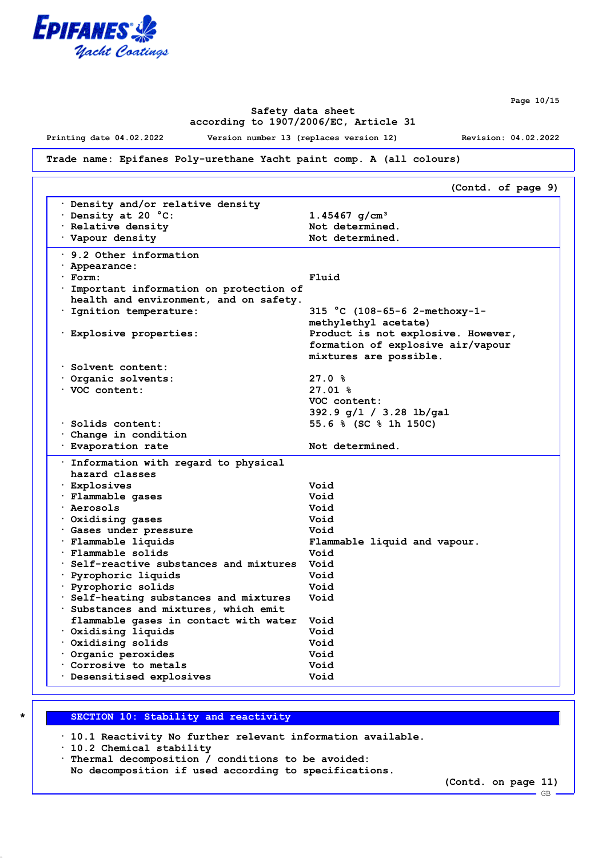

**Page 10/15**

### **Safety data sheet according to 1907/2006/EC, Article 31**

**Printing date 04.02.2022 Version number 13 (replaces version 12) Revision: 04.02.2022**

## **Trade name: Epifanes Poly-urethane Yacht paint comp. A (all colours)**

|                                                                            | (Contd. of page 9)                   |
|----------------------------------------------------------------------------|--------------------------------------|
| Density and/or relative density                                            |                                      |
| Density at 20 °C:                                                          | 1.45467 $g/cm^{3}$                   |
| · Relative density                                                         | Not determined.                      |
| Vapour density                                                             | Not determined.                      |
| $\cdot$ 9.2 Other information                                              |                                      |
| · Appearance:                                                              |                                      |
| · Form:                                                                    | Fluid                                |
| Important information on protection of                                     |                                      |
| health and environment, and on safety.                                     |                                      |
| · Ignition temperature:                                                    | 315 °C (108-65-6 2-methoxy-1-        |
|                                                                            | methylethyl acetate)                 |
| · Explosive properties:                                                    | Product is not explosive. However,   |
|                                                                            | formation of explosive air/vapour    |
|                                                                            | mixtures are possible.               |
| Solvent content:                                                           |                                      |
| Organic solvents:                                                          | 27.0%                                |
| VOC content:                                                               | $27.01$ %                            |
|                                                                            | VOC content:                         |
|                                                                            | 392.9 g/1 / 3.28 lb/gal              |
| · Solids content:                                                          | 55.6 % (SC % 1h 150C)                |
| Change in condition                                                        |                                      |
| · Evaporation rate                                                         | Not determined.                      |
| · Information with regard to physical                                      |                                      |
| hazard classes                                                             |                                      |
| <b>Explosives</b>                                                          | Void                                 |
| · Flammable gases                                                          | Void                                 |
| · Aerosols                                                                 | Void                                 |
|                                                                            | Void                                 |
| Oxidising gases                                                            | Void                                 |
| · Gases under pressure                                                     |                                      |
| · Flammable liquids<br>· Flammable solids                                  | Flammable liquid and vapour.<br>Void |
| Self-reactive substances and mixtures                                      | Void                                 |
|                                                                            | Void                                 |
| · Pyrophoric liquids                                                       | Void                                 |
| · Pyrophoric solids                                                        |                                      |
| · Self-heating substances and mixtures                                     | Void                                 |
| Substances and mixtures, which emit                                        |                                      |
| flammable gases in contact with water                                      | Void                                 |
| Oxidising liquids<br>Oxidising solids                                      | Void                                 |
|                                                                            | Void                                 |
|                                                                            |                                      |
|                                                                            | Void                                 |
| Organic peroxides<br>Corrosive to metals<br><b>Desensitised explosives</b> | Void<br>Void                         |

# **\* SECTION 10: Stability and reactivity**

**· 10.1 Reactivity No further relevant information available.**

**· 10.2 Chemical stability**

**No decomposition if used according to specifications.**

**<sup>·</sup> Thermal decomposition / conditions to be avoided:**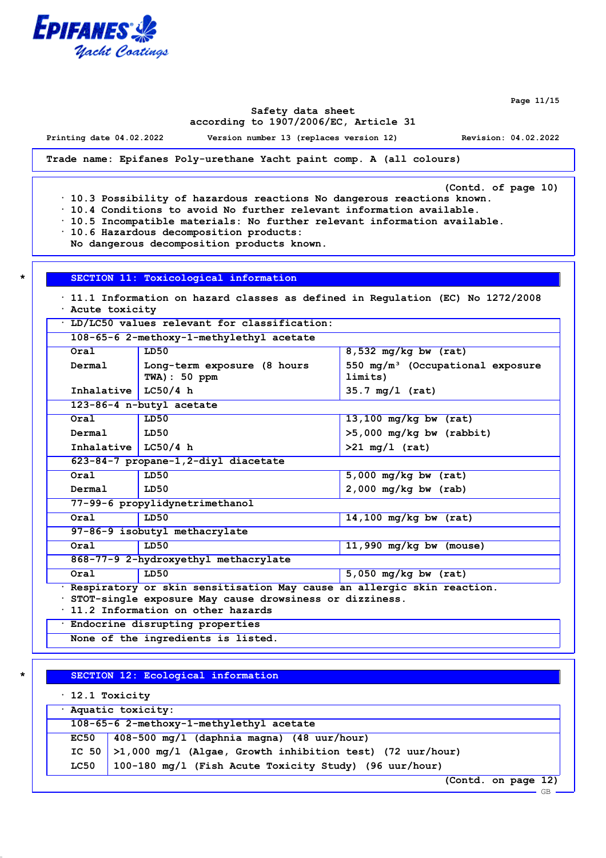

**Page 11/15**

#### **Safety data sheet according to 1907/2006/EC, Article 31**

**Printing date 04.02.2022 Version number 13 (replaces version 12) Revision: 04.02.2022**

**Trade name: Epifanes Poly-urethane Yacht paint comp. A (all colours)**

**(Contd. of page 10)**

**· 10.3 Possibility of hazardous reactions No dangerous reactions known.**

- **· 10.4 Conditions to avoid No further relevant information available.**
- **· 10.5 Incompatible materials: No further relevant information available.**
- **· 10.6 Hazardous decomposition products:**

**No dangerous decomposition products known.**

**\* SECTION 11: Toxicological information**

**· 11.1 Information on hazard classes as defined in Regulation (EC) No 1272/2008 · Acute toxicity**

**· LD/LC50 values relevant for classification:**

| Oral                  | LD50                                        | $8,532$ mg/kg bw (rat)                                  |
|-----------------------|---------------------------------------------|---------------------------------------------------------|
| Dermal                | Long-term exposure (8 hours<br>TWA): 50 ppm | 550 mg/m <sup>3</sup> (Occupational exposure<br>limits) |
| Inhalative $LC50/4 h$ |                                             | $35.7$ mg/1 (rat)                                       |
|                       | 123-86-4 n-butyl acetate                    |                                                         |
| Oral                  | LD50                                        | $13,100$ mg/kg bw (rat)                                 |
| Dermal                | LD50                                        | $>5,000$ mg/kg bw (rabbit)                              |
| Inhalative $LC50/4 h$ |                                             | $>21 \text{ mg}/1 \text{ (rat)}$                        |
|                       | 623-84-7 propane-1, 2-diyl diacetate        |                                                         |
| Oral                  | LD50                                        | $5,000$ mg/kg bw (rat)                                  |
| Dermal                | LD50                                        | $2,000$ mg/kg bw (rab)                                  |
|                       | 77-99-6 propylidynetrimethanol              |                                                         |
| Oral                  | LD50                                        | 14,100 mg/kg bw $(rat)$                                 |
|                       | 97-86-9 isobutyl methacrylate               |                                                         |
| Oral                  | LD50                                        | 11,990 $mg/kg$ bw (mouse)                               |
|                       | 868-77-9 2-hydroxyethyl methacrylate        |                                                         |
| Oral                  | LD50                                        | $5,050$ mg/kg bw (rat)                                  |

**· 11.2 Information on other hazards**

**· Endocrine disrupting properties**

**None of the ingredients is listed.**

#### **\* SECTION 12: Ecological information**

| $\cdot$ 12.1 Toxicity |                                                                   |  |
|-----------------------|-------------------------------------------------------------------|--|
| Aquatic toxicity:     |                                                                   |  |
|                       | 108-65-6 2-methoxy-1-methylethyl acetate                          |  |
|                       | EC50   $408-500$ mg/l (daphnia magna) (48 uur/hour)               |  |
|                       | IC 50 $>1,000$ mg/l (Algae, Growth inhibition test) (72 uur/hour) |  |
| LC50                  | 100-180 mg/l (Fish Acute Toxicity Study) (96 uur/hour)            |  |
|                       | $- 101$<br>$10 - 11$                                              |  |

**(Contd. on page 12)**

GB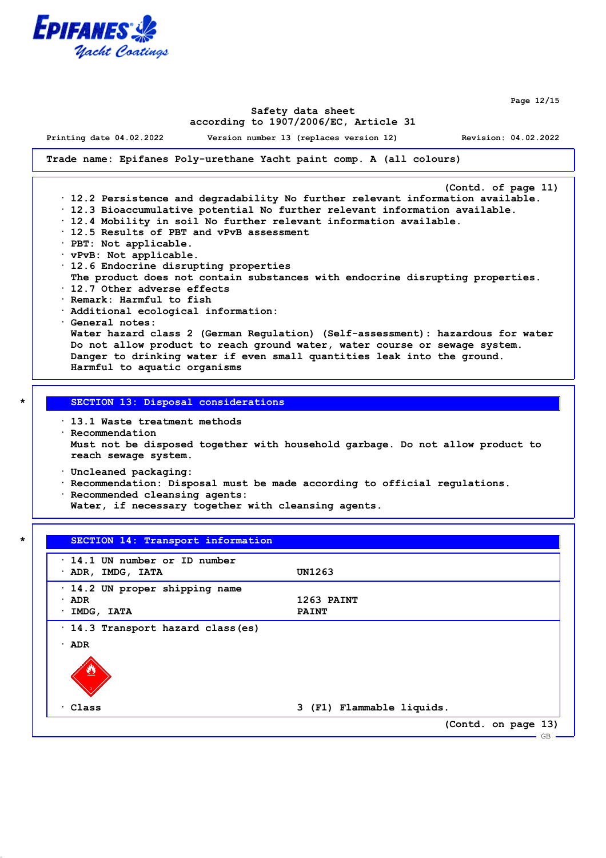

**Page 12/15**

#### **Safety data sheet according to 1907/2006/EC, Article 31**

**Printing date 04.02.2022 Version number 13 (replaces version 12) Revision: 04.02.2022**

**Trade name: Epifanes Poly-urethane Yacht paint comp. A (all colours)**

**(Contd. of page 11) · 12.2 Persistence and degradability No further relevant information available. · 12.3 Bioaccumulative potential No further relevant information available. · 12.4 Mobility in soil No further relevant information available. · 12.5 Results of PBT and vPvB assessment · PBT: Not applicable. · vPvB: Not applicable. · 12.6 Endocrine disrupting properties The product does not contain substances with endocrine disrupting properties. · 12.7 Other adverse effects · Remark: Harmful to fish · Additional ecological information: · General notes: Water hazard class 2 (German Regulation) (Self-assessment): hazardous for water Do not allow product to reach ground water, water course or sewage system. Danger to drinking water if even small quantities leak into the ground. Harmful to aquatic organisms**

#### **\* SECTION 13: Disposal considerations**

**· 13.1 Waste treatment methods**

**· Recommendation Must not be disposed together with household garbage. Do not allow product to reach sewage system.**

**· Uncleaned packaging:**

**· Recommendation: Disposal must be made according to official regulations.**

**· Recommended cleansing agents:**

**Water, if necessary together with cleansing agents.**

| · ADR, IMDG, IATA            | UN1263       |
|------------------------------|--------------|
|                              |              |
| 14.2 UN proper shipping name |              |
| ADR<br>٠                     | 1263 PAINT   |
| IMDG, IATA                   | <b>PAINT</b> |
| ADR<br>٠                     |              |
|                              |              |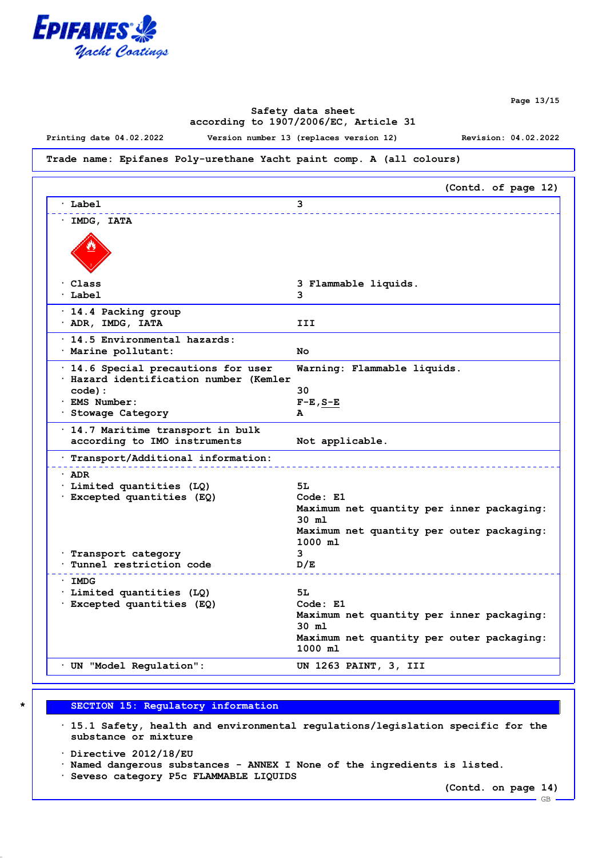

**Page 13/15**

## **Safety data sheet according to 1907/2006/EC, Article 31**

**Printing date 04.02.2022 Version number 13 (replaces version 12) Revision: 04.02.2022**

#### **Trade name: Epifanes Poly-urethane Yacht paint comp. A (all colours)**

| 3 Flammable liquids.                               |
|----------------------------------------------------|
|                                                    |
|                                                    |
|                                                    |
| Warning: Flammable liquids.                        |
|                                                    |
| $F-E$ , $S-E$                                      |
|                                                    |
| Not applicable.                                    |
|                                                    |
|                                                    |
|                                                    |
| Code: E1                                           |
| Maximum net quantity per inner packaging:          |
| $30$ $m1$                                          |
| Maximum net quantity per outer packaging:          |
| $1000$ ml                                          |
|                                                    |
|                                                    |
|                                                    |
|                                                    |
| Code: E1                                           |
| Maximum net quantity per inner packaging:<br>30 ml |
| Maximum net quantity per outer packaging:          |
| $1000$ ml                                          |
| UN 1263 PAINT, 3, III                              |
|                                                    |

#### **\* SECTION 15: Regulatory information**

**· 15.1 Safety, health and environmental regulations/legislation specific for the substance or mixture**

**· Directive 2012/18/EU**

**· Named dangerous substances - ANNEX I None of the ingredients is listed.**

**· Seveso category P5c FLAMMABLE LIQUIDS**

**(Contd. on page 14)** GB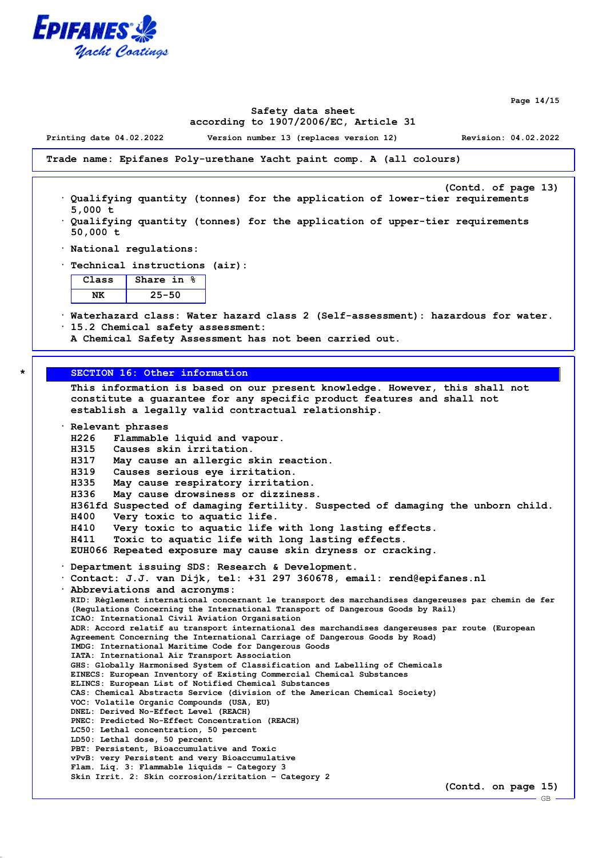

**Page 14/15**

#### **Safety data sheet according to 1907/2006/EC, Article 31**

**Printing date 04.02.2022 Version number 13 (replaces version 12) Revision: 04.02.2022**

**Trade name: Epifanes Poly-urethane Yacht paint comp. A (all colours)**

- **(Contd. of page 13) · Qualifying quantity (tonnes) for the application of lower-tier requirements 5,000 t**
- **· Qualifying quantity (tonnes) for the application of upper-tier requirements 50,000 t**
- **· National regulations:**
- **· Technical instructions (air):**

| Class | Share in<br>℁ |
|-------|---------------|
|       | $25 - 50$     |

**· Waterhazard class: Water hazard class 2 (Self-assessment): hazardous for water. · 15.2 Chemical safety assessment:**

**A Chemical Safety Assessment has not been carried out.**

#### **\* SECTION 16: Other information**

**This information is based on our present knowledge. However, this shall not constitute a guarantee for any specific product features and shall not establish a legally valid contractual relationship.**

**· Relevant phrases H226 Flammable liquid and vapour. H315 Causes skin irritation. H317 May cause an allergic skin reaction. H319 Causes serious eye irritation. H335 May cause respiratory irritation. H336 May cause drowsiness or dizziness. H361fd Suspected of damaging fertility. Suspected of damaging the unborn child. H400 Very toxic to aquatic life. H410 Very toxic to aquatic life with long lasting effects. H411 Toxic to aquatic life with long lasting effects. EUH066 Repeated exposure may cause skin dryness or cracking. · Department issuing SDS: Research & Development. · Contact: J.J. van Dijk, tel: +31 297 360678, email: rend@epifanes.nl · Abbreviations and acronyms: RID: Règlement international concernant le transport des marchandises dangereuses par chemin de fer**

**(Regulations Concerning the International Transport of Dangerous Goods by Rail) ICAO: International Civil Aviation Organisation ADR: Accord relatif au transport international des marchandises dangereuses par route (European Agreement Concerning the International Carriage of Dangerous Goods by Road) IMDG: International Maritime Code for Dangerous Goods IATA: International Air Transport Association GHS: Globally Harmonised System of Classification and Labelling of Chemicals EINECS: European Inventory of Existing Commercial Chemical Substances ELINCS: European List of Notified Chemical Substances CAS: Chemical Abstracts Service (division of the American Chemical Society) VOC: Volatile Organic Compounds (USA, EU) DNEL: Derived No-Effect Level (REACH) PNEC: Predicted No-Effect Concentration (REACH) LC50: Lethal concentration, 50 percent LD50: Lethal dose, 50 percent PBT: Persistent, Bioaccumulative and Toxic vPvB: very Persistent and very Bioaccumulative Flam. Liq. 3: Flammable liquids – Category 3 Skin Irrit. 2: Skin corrosion/irritation – Category 2**

**(Contd. on page 15)**

GB